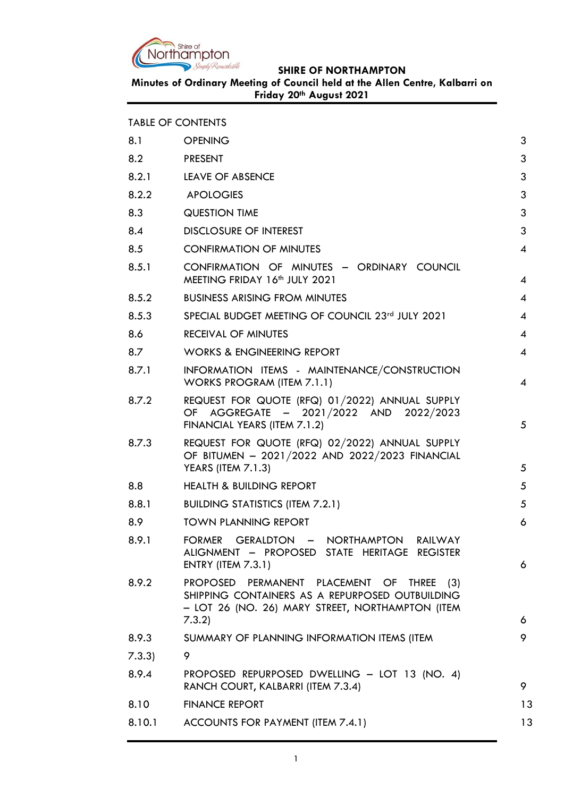

|        | <b>TABLE OF CONTENTS</b>                                                                                                                         |                          |
|--------|--------------------------------------------------------------------------------------------------------------------------------------------------|--------------------------|
| 8.1    | <b>OPENING</b>                                                                                                                                   | 3                        |
| 8.2    | <b>PRESENT</b>                                                                                                                                   | 3                        |
| 8.2.1  | <b>LEAVE OF ABSENCE</b>                                                                                                                          | 3                        |
| 8.2.2  | <b>APOLOGIES</b>                                                                                                                                 | 3                        |
| 8.3    | <b>QUESTION TIME</b>                                                                                                                             | 3                        |
| 8.4    | <b>DISCLOSURE OF INTEREST</b>                                                                                                                    | 3                        |
| 8.5    | <b>CONFIRMATION OF MINUTES</b>                                                                                                                   | 4                        |
| 8.5.1  | CONFIRMATION OF MINUTES - ORDINARY COUNCIL<br>MEETING FRIDAY 16th JULY 2021                                                                      | 4                        |
| 8.5.2  | <b>BUSINESS ARISING FROM MINUTES</b>                                                                                                             | 4                        |
| 8.5.3  | SPECIAL BUDGET MEETING OF COUNCIL 23rd JULY 2021                                                                                                 | $\overline{4}$           |
| 8.6    | <b>RECEIVAL OF MINUTES</b>                                                                                                                       | 4                        |
| 8.7    | <b>WORKS &amp; ENGINEERING REPORT</b>                                                                                                            | $\overline{4}$           |
| 8.7.1  | INFORMATION ITEMS - MAINTENANCE/CONSTRUCTION<br>WORKS PROGRAM (ITEM 7.1.1)                                                                       | $\boldsymbol{\varDelta}$ |
| 8.7.2  | REQUEST FOR QUOTE (RFQ) 01/2022) ANNUAL SUPPLY<br>OF AGGREGATE - 2021/2022 AND 2022/2023<br>FINANCIAL YEARS (ITEM 7.1.2)                         | 5                        |
| 8.7.3  | REQUEST FOR QUOTE (RFQ) 02/2022) ANNUAL SUPPLY<br>OF BITUMEN - 2021/2022 AND 2022/2023 FINANCIAL<br><b>YEARS (ITEM 7.1.3)</b>                    | 5                        |
| 8.8    | <b>HEALTH &amp; BUILDING REPORT</b>                                                                                                              | 5                        |
| 8.8.1  | <b>BUILDING STATISTICS (ITEM 7.2.1)</b>                                                                                                          | 5                        |
| 8.9    | <b>TOWN PLANNING REPORT</b>                                                                                                                      | 6                        |
| 8.9.1  | FORMER GERALDTON - NORTHAMPTON RAILWAY<br>ALIGNMENT - PROPOSED STATE HERITAGE REGISTER<br><b>ENTRY (ITEM 7.3.1)</b>                              | 6                        |
| 8.9.2  | PROPOSED PERMANENT PLACEMENT OF THREE (3)<br>SHIPPING CONTAINERS AS A REPURPOSED OUTBUILDING<br>- LOT 26 (NO. 26) MARY STREET, NORTHAMPTON (ITEM |                          |
| 8.9.3  | 7.3.2)<br>SUMMARY OF PLANNING INFORMATION ITEMS (ITEM                                                                                            | 6<br>9                   |
| 7.3.3) | 9                                                                                                                                                |                          |
| 8.9.4  | PROPOSED REPURPOSED DWELLING - LOT 13 (NO. 4)                                                                                                    |                          |
|        | RANCH COURT, KALBARRI (ITEM 7.3.4)                                                                                                               | 9                        |
| 8.10   | <b>FINANCE REPORT</b>                                                                                                                            | 13                       |
| 8.10.1 | ACCOUNTS FOR PAYMENT (ITEM 7.4.1)                                                                                                                | 13                       |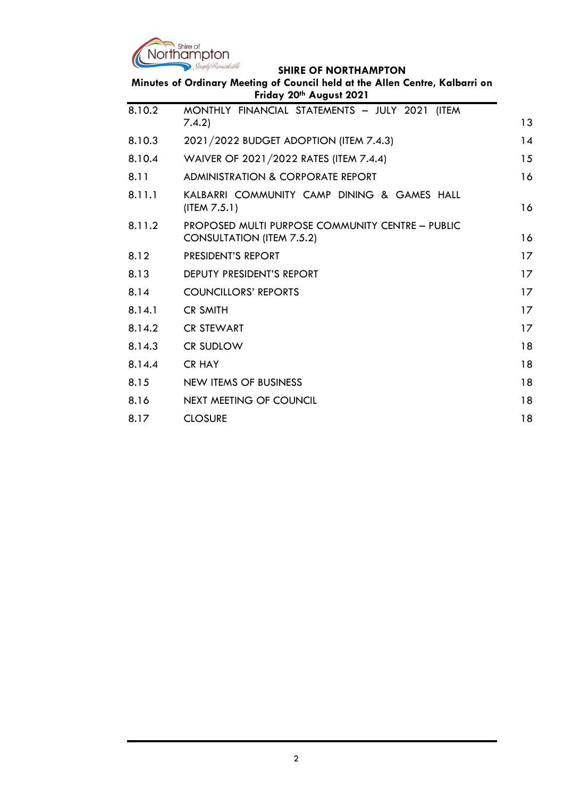

| Minutes of Ordinary Meeting of Council held at the Allen Centre, Kalbarri on<br>Friday 20th August 2021 |                                                                                      |    |
|---------------------------------------------------------------------------------------------------------|--------------------------------------------------------------------------------------|----|
| 8.10.2                                                                                                  | MONTHLY FINANCIAL STATEMENTS - JULY 2021 (ITEM<br>7.4.2)                             | 13 |
| 8.10.3                                                                                                  | 2021/2022 BUDGET ADOPTION (ITEM 7.4.3)                                               | 14 |
| 8.10.4                                                                                                  | WAIVER OF 2021/2022 RATES (ITEM 7.4.4)                                               | 15 |
| 8.11                                                                                                    | <b>ADMINISTRATION &amp; CORPORATE REPORT</b>                                         | 16 |
| 8.11.1                                                                                                  | KALBARRI COMMUNITY CAMP DINING & GAMES HALL<br>(ITER 7.5.1)                          | 16 |
| 8.11.2                                                                                                  | PROPOSED MULTI PURPOSE COMMUNITY CENTRE - PUBLIC<br><b>CONSULTATION (ITEM 7.5.2)</b> | 16 |
| 8.12                                                                                                    | PRESIDENT'S REPORT                                                                   | 17 |
| 8.13                                                                                                    | DEPUTY PRESIDENT'S REPORT                                                            | 17 |
| 8.14                                                                                                    | <b>COUNCILLORS' REPORTS</b>                                                          | 17 |
| 8.14.1                                                                                                  | <b>CR SMITH</b>                                                                      | 17 |
| 8.14.2                                                                                                  | <b>CR STEWART</b>                                                                    | 17 |
| 8.14.3                                                                                                  | <b>CR SUDLOW</b>                                                                     | 18 |
| 8.14.4                                                                                                  | <b>CR HAY</b>                                                                        | 18 |
| 8.15                                                                                                    | NEW ITEMS OF BUSINESS                                                                | 18 |
| 8.16                                                                                                    | NEXT MEETING OF COUNCIL                                                              | 18 |
| 8.17                                                                                                    | <b>CLOSURE</b>                                                                       | 18 |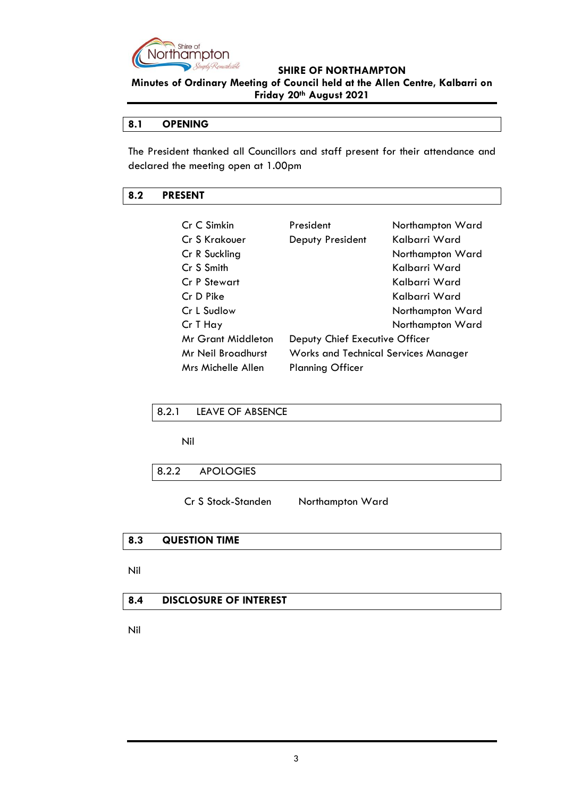

**Minutes of Ordinary Meeting of Council held at the Allen Centre, Kalbarri on Friday 20th August 2021**

# <span id="page-2-0"></span>**8.1 OPENING**

The President thanked all Councillors and staff present for their attendance and declared the meeting open at 1.00pm

## <span id="page-2-1"></span>**8.2 PRESENT**

| Cr C Simkin        | President                                   | Northampton Ward |
|--------------------|---------------------------------------------|------------------|
| Cr S Krakouer      | Deputy President                            | Kalbarri Ward    |
| Cr R Suckling      |                                             | Northampton Ward |
| Cr S Smith         |                                             | Kalbarri Ward    |
| Cr P Stewart       |                                             | Kalbarri Ward    |
| Cr D Pike          |                                             | Kalbarri Ward    |
| Cr L Sudlow        |                                             | Northampton Ward |
| Cr T Hay           |                                             | Northampton Ward |
| Mr Grant Middleton | Deputy Chief Executive Officer              |                  |
| Mr Neil Broadhurst | <b>Works and Technical Services Manager</b> |                  |
| Mrs Michelle Allen | <b>Planning Officer</b>                     |                  |

<span id="page-2-2"></span>

|  | 8.2.1 LEAVE OF ABSENCE |  |
|--|------------------------|--|
|--|------------------------|--|

Nil

<span id="page-2-3"></span>

| 8.2.2<br><b>APOLOGIES</b> |
|---------------------------|
|---------------------------|

Cr S Stock-Standen Northampton Ward

# <span id="page-2-4"></span>**8.3 QUESTION TIME**

Nil

# <span id="page-2-5"></span>**8.4 DISCLOSURE OF INTEREST**

Nil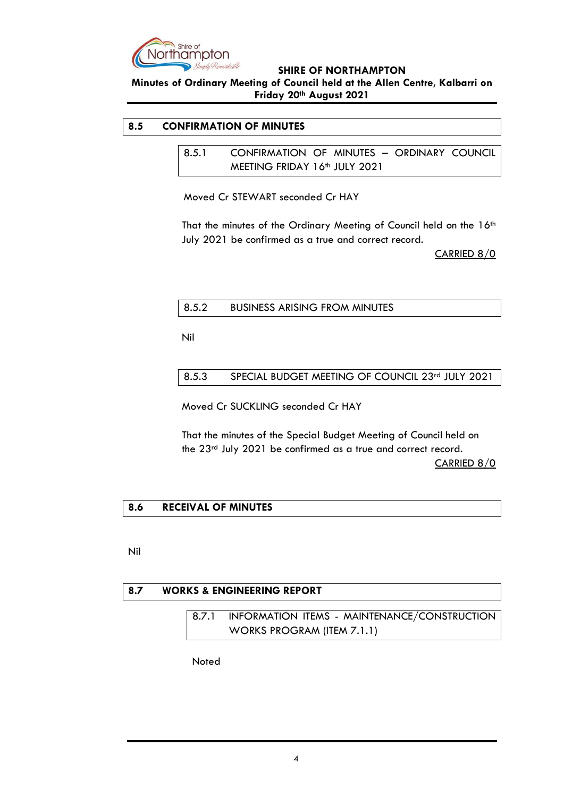

# **Minutes of Ordinary Meeting of Council held at the Allen Centre, Kalbarri on Friday 20th August 2021**

# <span id="page-3-1"></span><span id="page-3-0"></span>**8.5 CONFIRMATION OF MINUTES**

8.5.1 CONFIRMATION OF MINUTES – ORDINARY COUNCIL MEETING FRIDAY 16th JULY 2021

Moved Cr STEWART seconded Cr HAY

That the minutes of the Ordinary Meeting of Council held on the 16<sup>th</sup> July 2021 be confirmed as a true and correct record.

CARRIED 8/0

## <span id="page-3-2"></span>8.5.2 BUSINESS ARISING FROM MINUTES

Nil

<span id="page-3-3"></span>8.5.3 SPECIAL BUDGET MEETING OF COUNCIL 23rd JULY 2021

Moved Cr SUCKLING seconded Cr HAY

That the minutes of the Special Budget Meeting of Council held on the 23rd July 2021 be confirmed as a true and correct record. CARRIED 8/0

# <span id="page-3-4"></span>**8.6 RECEIVAL OF MINUTES**

Nil

<span id="page-3-6"></span><span id="page-3-5"></span>

| 8.7 | <b>WORKS &amp; ENGINEERING REPORT</b> |  |                                                    |
|-----|---------------------------------------|--|----------------------------------------------------|
|     |                                       |  |                                                    |
|     |                                       |  | 8.7.1 INFORMATION ITEMS - MAINTENANCE/CONSTRUCTION |
|     |                                       |  | WORKS PROGRAM (ITEM 7.1.1)                         |

Noted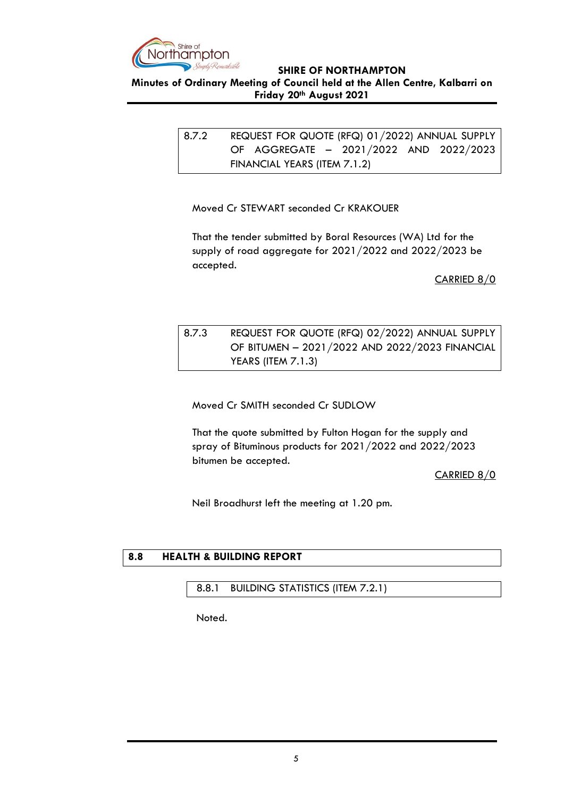

<span id="page-4-0"></span>**Minutes of Ordinary Meeting of Council held at the Allen Centre, Kalbarri on Friday 20th August 2021**

> 8.7.2 REQUEST FOR QUOTE (RFQ) 01/2022) ANNUAL SUPPLY OF AGGREGATE – 2021/2022 AND 2022/2023 FINANCIAL YEARS (ITEM 7.1.2)

Moved Cr STEWART seconded Cr KRAKOUER

That the tender submitted by Boral Resources (WA) Ltd for the supply of road aggregate for 2021/2022 and 2022/2023 be accepted.

CARRIED 8/0

# <span id="page-4-1"></span>8.7.3 REQUEST FOR QUOTE (RFQ) 02/2022) ANNUAL SUPPLY OF BITUMEN – 2021/2022 AND 2022/2023 FINANCIAL YEARS (ITEM 7.1.3)

Moved Cr SMITH seconded Cr SUDLOW

That the quote submitted by Fulton Hogan for the supply and spray of Bituminous products for 2021/2022 and 2022/2023 bitumen be accepted.

CARRIED 8/0

Neil Broadhurst left the meeting at 1.20 pm.

# <span id="page-4-2"></span>**8.8 HEALTH & BUILDING REPORT**

<span id="page-4-3"></span>8.8.1 BUILDING STATISTICS (ITEM 7.2.1)

Noted.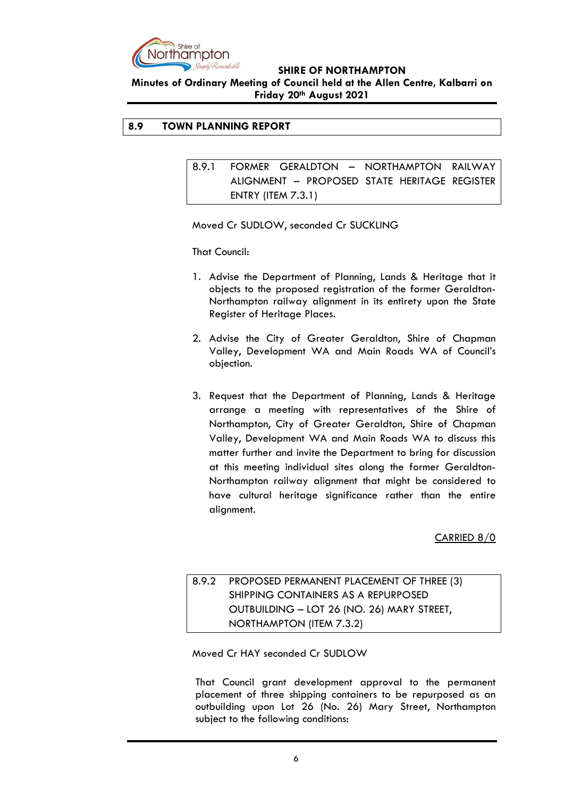

**Minutes of Ordinary Meeting of Council held at the Allen Centre, Kalbarri on Friday 20th August 2021**

# <span id="page-5-1"></span><span id="page-5-0"></span>**8.9 TOWN PLANNING REPORT**

8.9.1 FORMER GERALDTON – NORTHAMPTON RAILWAY ALIGNMENT – PROPOSED STATE HERITAGE REGISTER ENTRY (ITEM 7.3.1)

Moved Cr SUDLOW, seconded Cr SUCKLING

That Council:

- 1. Advise the Department of Planning, Lands & Heritage that it objects to the proposed registration of the former Geraldton-Northampton railway alignment in its entirety upon the State Register of Heritage Places.
- 2. Advise the City of Greater Geraldton, Shire of Chapman Valley, Development WA and Main Roads WA of Council's objection.
- 3. Request that the Department of Planning, Lands & Heritage arrange a meeting with representatives of the Shire of Northampton, City of Greater Geraldton, Shire of Chapman Valley, Development WA and Main Roads WA to discuss this matter further and invite the Department to bring for discussion at this meeting individual sites along the former Geraldton-Northampton railway alignment that might be considered to have cultural heritage significance rather than the entire alignment.

CARRIED 8/0

<span id="page-5-2"></span>8.9.2 PROPOSED PERMANENT PLACEMENT OF THREE (3) SHIPPING CONTAINERS AS A REPURPOSED OUTBUILDING – LOT 26 (NO. 26) MARY STREET, NORTHAMPTON (ITEM 7.3.2)

Moved Cr HAY seconded Cr SUDLOW

That Council grant development approval to the permanent placement of three shipping containers to be repurposed as an outbuilding upon Lot 26 (No. 26) Mary Street, Northampton subject to the following conditions: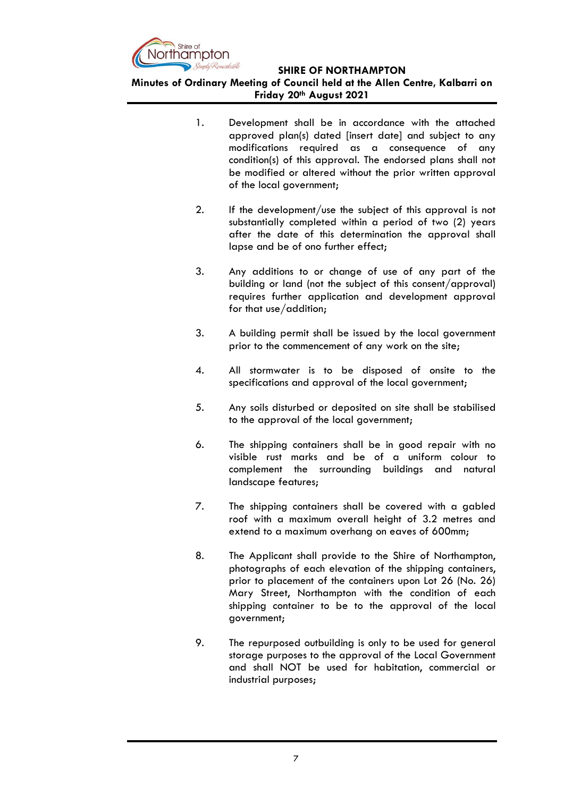

- 1. Development shall be in accordance with the attached approved plan(s) dated [insert date] and subject to any modifications required as a consequence of any condition(s) of this approval. The endorsed plans shall not be modified or altered without the prior written approval of the local government;
- 2. If the development/use the subject of this approval is not substantially completed within a period of two (2) years after the date of this determination the approval shall lapse and be of ono further effect;
- 3. Any additions to or change of use of any part of the building or land (not the subject of this consent/approval) requires further application and development approval for that use/addition;
- 3. A building permit shall be issued by the local government prior to the commencement of any work on the site;
- 4. All stormwater is to be disposed of onsite to the specifications and approval of the local government;
- 5. Any soils disturbed or deposited on site shall be stabilised to the approval of the local government;
- 6. The shipping containers shall be in good repair with no visible rust marks and be of a uniform colour to complement the surrounding buildings and natural landscape features;
- 7. The shipping containers shall be covered with a gabled roof with a maximum overall height of 3.2 metres and extend to a maximum overhang on eaves of 600mm;
- 8. The Applicant shall provide to the Shire of Northampton, photographs of each elevation of the shipping containers, prior to placement of the containers upon Lot 26 (No. 26) Mary Street, Northampton with the condition of each shipping container to be to the approval of the local government;
- 9. The repurposed outbuilding is only to be used for general storage purposes to the approval of the Local Government and shall NOT be used for habitation, commercial or industrial purposes;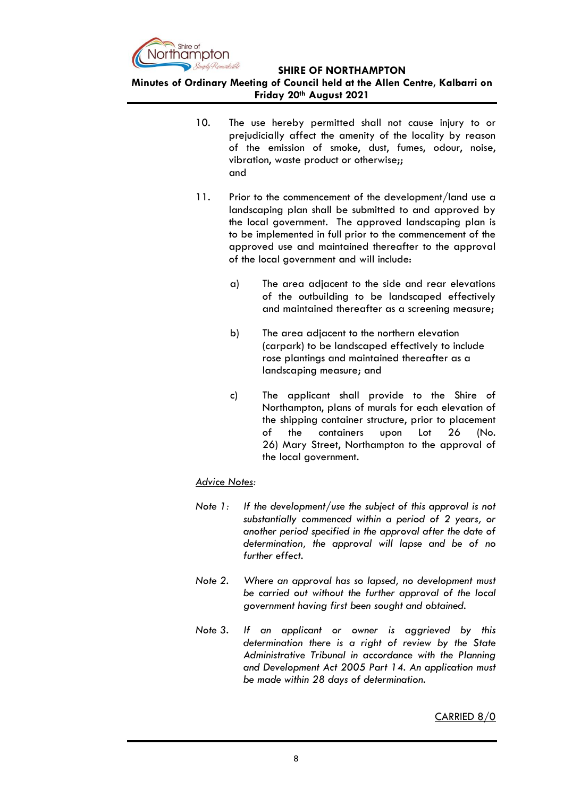

# **Minutes of Ordinary Meeting of Council held at the Allen Centre, Kalbarri on Friday 20th August 2021**

- 10. The use hereby permitted shall not cause injury to or prejudicially affect the amenity of the locality by reason of the emission of smoke, dust, fumes, odour, noise, vibration, waste product or otherwise;; and
- 11. Prior to the commencement of the development/land use a landscaping plan shall be submitted to and approved by the local government. The approved landscaping plan is to be implemented in full prior to the commencement of the approved use and maintained thereafter to the approval of the local government and will include:
	- a) The area adjacent to the side and rear elevations of the outbuilding to be landscaped effectively and maintained thereafter as a screening measure;
	- b) The area adjacent to the northern elevation (carpark) to be landscaped effectively to include rose plantings and maintained thereafter as a landscaping measure; and
	- c) The applicant shall provide to the Shire of Northampton, plans of murals for each elevation of the shipping container structure, prior to placement of the containers upon Lot 26 (No. 26) Mary Street, Northampton to the approval of the local government.

# *Advice Notes:*

- *Note 1: If the development/use the subject of this approval is not substantially commenced within a period of 2 years, or another period specified in the approval after the date of determination, the approval will lapse and be of no further effect.*
- *Note 2. Where an approval has so lapsed, no development must be carried out without the further approval of the local government having first been sought and obtained.*
- *Note 3. If an applicant or owner is aggrieved by this determination there is a right of review by the State Administrative Tribunal in accordance with the Planning and Development Act 2005 Part 14. An application must be made within 28 days of determination.*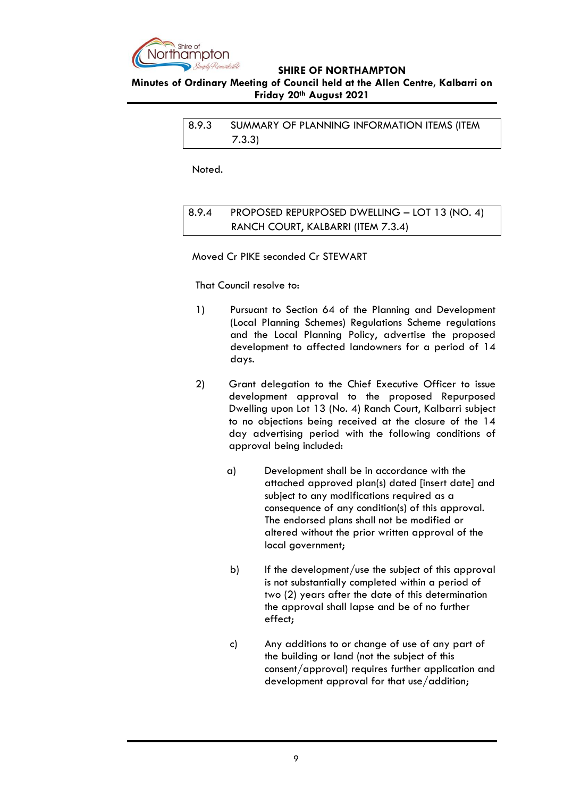

<span id="page-8-0"></span>**Minutes of Ordinary Meeting of Council held at the Allen Centre, Kalbarri on Friday 20th August 2021**

> <span id="page-8-1"></span>8.9.3 SUMMARY OF PLANNING INFORMATION ITEMS (ITEM 7.3.3)

Noted.

<span id="page-8-2"></span>8.9.4 PROPOSED REPURPOSED DWELLING – LOT 13 (NO. 4) RANCH COURT, KALBARRI (ITEM 7.3.4)

Moved Cr PIKE seconded Cr STEWART

That Council resolve to:

- 1) Pursuant to Section 64 of the Planning and Development (Local Planning Schemes) Regulations Scheme regulations and the Local Planning Policy, advertise the proposed development to affected landowners for a period of 14 days.
- 2) Grant delegation to the Chief Executive Officer to issue development approval to the proposed Repurposed Dwelling upon Lot 13 (No. 4) Ranch Court, Kalbarri subject to no objections being received at the closure of the 14 day advertising period with the following conditions of approval being included:
	- a) Development shall be in accordance with the attached approved plan(s) dated [insert date] and subject to any modifications required as a consequence of any condition(s) of this approval. The endorsed plans shall not be modified or altered without the prior written approval of the local government;
	- b) If the development/use the subject of this approval is not substantially completed within a period of two (2) years after the date of this determination the approval shall lapse and be of no further effect;
	- c) Any additions to or change of use of any part of the building or land (not the subject of this consent/approval) requires further application and development approval for that use/addition;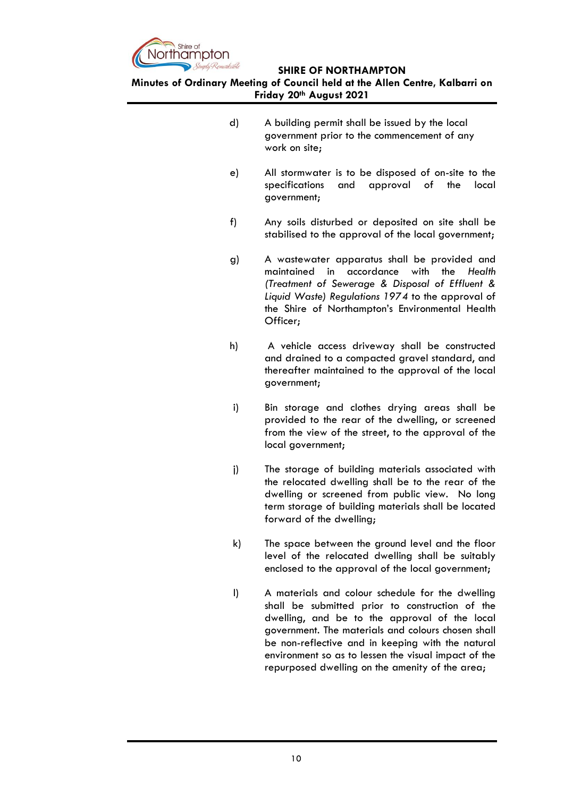

- d) A building permit shall be issued by the local government prior to the commencement of any work on site;
- e) All stormwater is to be disposed of on-site to the specifications and approval of the local government;
- f) Any soils disturbed or deposited on site shall be stabilised to the approval of the local government;
- g) A wastewater apparatus shall be provided and maintained in accordance with the *Health (Treatment of Sewerage & Disposal of Effluent & Liquid Waste) Regulations 1974* to the approval of the Shire of Northampton's Environmental Health Officer;
- h) A vehicle access driveway shall be constructed and drained to a compacted gravel standard, and thereafter maintained to the approval of the local government;
- i) Bin storage and clothes drying areas shall be provided to the rear of the dwelling, or screened from the view of the street, to the approval of the local government;
- j) The storage of building materials associated with the relocated dwelling shall be to the rear of the dwelling or screened from public view. No long term storage of building materials shall be located forward of the dwelling;
- k) The space between the ground level and the floor level of the relocated dwelling shall be suitably enclosed to the approval of the local government;
- l) A materials and colour schedule for the dwelling shall be submitted prior to construction of the dwelling, and be to the approval of the local government. The materials and colours chosen shall be non-reflective and in keeping with the natural environment so as to lessen the visual impact of the repurposed dwelling on the amenity of the area;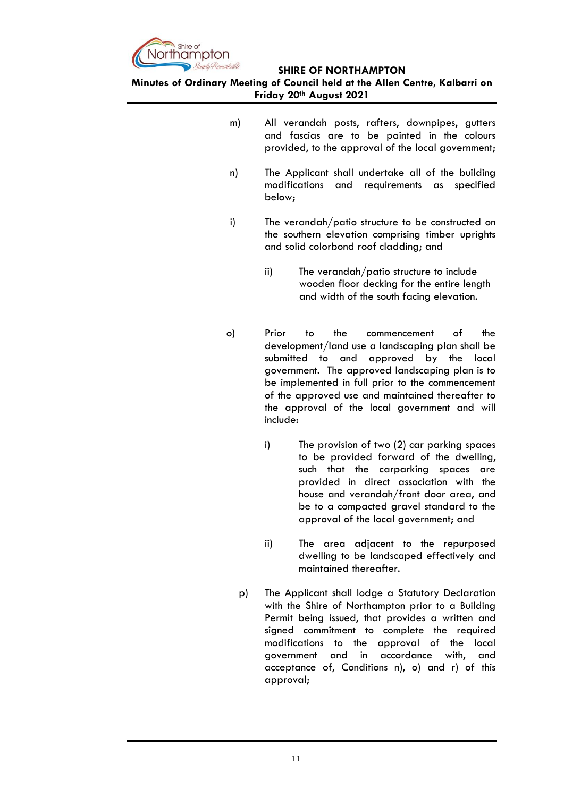

- m) All verandah posts, rafters, downpipes, gutters and fascias are to be painted in the colours provided, to the approval of the local government;
- n) The Applicant shall undertake all of the building modifications and requirements as specified below;
- i) The verandah/patio structure to be constructed on the southern elevation comprising timber uprights and solid colorbond roof cladding; and
	- ii) The verandah/patio structure to include wooden floor decking for the entire length and width of the south facing elevation.
- o) Prior to the commencement of the development/land use a landscaping plan shall be submitted to and approved by the local government. The approved landscaping plan is to be implemented in full prior to the commencement of the approved use and maintained thereafter to the approval of the local government and will include:
	- i) The provision of two (2) car parking spaces to be provided forward of the dwelling, such that the carparking spaces are provided in direct association with the house and verandah/front door area, and be to a compacted gravel standard to the approval of the local government; and
	- ii) The area adjacent to the repurposed dwelling to be landscaped effectively and maintained thereafter.
	- p) The Applicant shall lodge a Statutory Declaration with the Shire of Northampton prior to a Building Permit being issued, that provides a written and signed commitment to complete the required modifications to the approval of the local government and in accordance with, and acceptance of, Conditions n), o) and r) of this approval;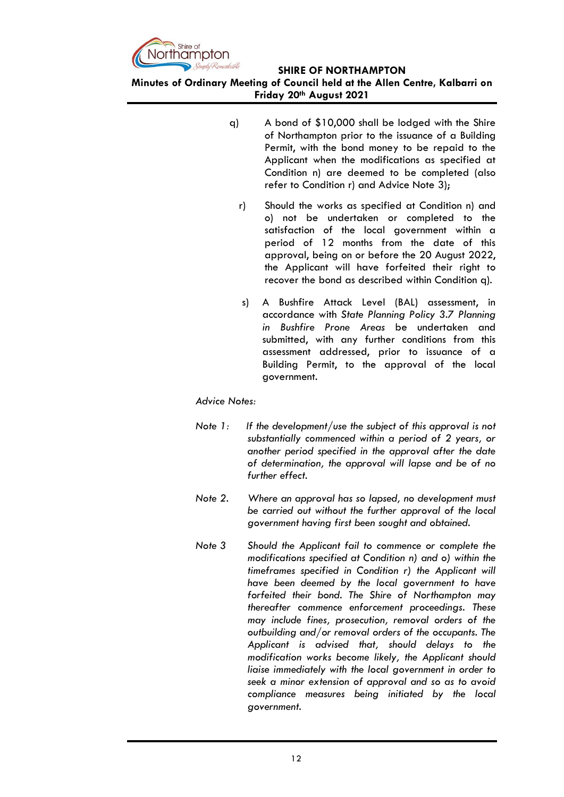

**Minutes of Ordinary Meeting of Council held at the Allen Centre, Kalbarri on Friday 20th August 2021**

- q) A bond of \$10,000 shall be lodged with the Shire of Northampton prior to the issuance of a Building Permit, with the bond money to be repaid to the Applicant when the modifications as specified at Condition n) are deemed to be completed (also refer to Condition r) and Advice Note 3);
	- r) Should the works as specified at Condition n) and o) not be undertaken or completed to the satisfaction of the local government within a period of 12 months from the date of this approval, being on or before the 20 August 2022, the Applicant will have forfeited their right to recover the bond as described within Condition q).
	- s) A Bushfire Attack Level (BAL) assessment, in accordance with *State Planning Policy 3.7 Planning in Bushfire Prone Areas* be undertaken and submitted, with any further conditions from this assessment addressed, prior to issuance of a Building Permit, to the approval of the local government.

*Advice Notes:*

- *Note 1: If the development/use the subject of this approval is not substantially commenced within a period of 2 years, or another period specified in the approval after the date of determination, the approval will lapse and be of no further effect.*
- *Note 2. Where an approval has so lapsed, no development must be carried out without the further approval of the local government having first been sought and obtained.*
- *Note 3 Should the Applicant fail to commence or complete the modifications specified at Condition n) and o) within the timeframes specified in Condition r) the Applicant will have been deemed by the local government to have forfeited their bond. The Shire of Northampton may thereafter commence enforcement proceedings. These may include fines, prosecution, removal orders of the outbuilding and/or removal orders of the occupants. The Applicant is advised that, should delays to the modification works become likely, the Applicant should liaise immediately with the local government in order to seek a minor extension of approval and so as to avoid compliance measures being initiated by the local government.*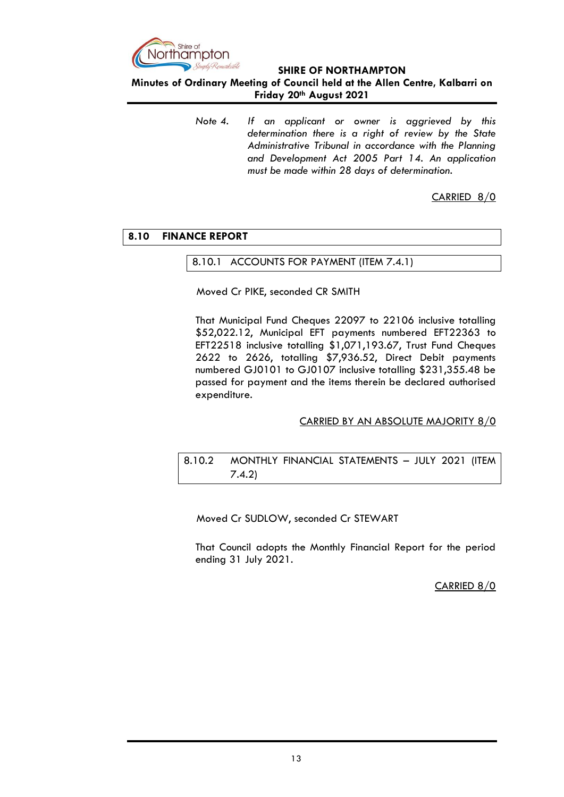

**Minutes of Ordinary Meeting of Council held at the Allen Centre, Kalbarri on Friday 20th August 2021**

> *Note 4. If an applicant or owner is aggrieved by this determination there is a right of review by the State Administrative Tribunal in accordance with the Planning and Development Act 2005 Part 14. An application must be made within 28 days of determination.*

> > CARRIED 8/0

# <span id="page-12-1"></span><span id="page-12-0"></span>**8.10 FINANCE REPORT**

## 8.10.1 ACCOUNTS FOR PAYMENT (ITEM 7.4.1)

Moved Cr PIKE, seconded CR SMITH

That Municipal Fund Cheques 22097 to 22106 inclusive totalling \$52,022.12, Municipal EFT payments numbered EFT22363 to EFT22518 inclusive totalling \$1,071,193.67, Trust Fund Cheques 2622 to 2626, totalling \$7,936.52, Direct Debit payments numbered GJ0101 to GJ0107 inclusive totalling \$231,355.48 be passed for payment and the items therein be declared authorised expenditure.

# CARRIED BY AN ABSOLUTE MAJORITY 8/0

# <span id="page-12-2"></span>8.10.2 MONTHLY FINANCIAL STATEMENTS – JULY 2021 (ITEM 7.4.2)

Moved Cr SUDLOW, seconded Cr STEWART

That Council adopts the Monthly Financial Report for the period ending 31 July 2021.

### CARRIED 8/0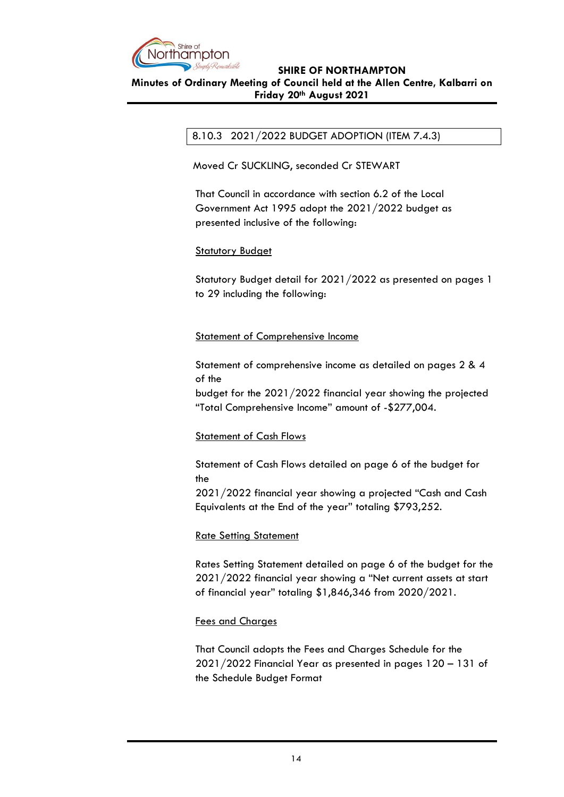

## <span id="page-13-0"></span>**Minutes of Ordinary Meeting of Council held at the Allen Centre, Kalbarri on Friday 20th August 2021**

# 8.10.3 2021/2022 BUDGET ADOPTION (ITEM 7.4.3)

Moved Cr SUCKLING, seconded Cr STEWART

That Council in accordance with section 6.2 of the Local Government Act 1995 adopt the 2021/2022 budget as presented inclusive of the following:

# **Statutory Budget**

Statutory Budget detail for 2021/2022 as presented on pages 1 to 29 including the following:

# Statement of Comprehensive Income

Statement of comprehensive income as detailed on pages 2 & 4 of the

budget for the 2021/2022 financial year showing the projected "Total Comprehensive Income" amount of -\$277,004.

# Statement of Cash Flows

Statement of Cash Flows detailed on page 6 of the budget for the

2021/2022 financial year showing a projected "Cash and Cash Equivalents at the End of the year" totaling \$793,252.

# Rate Setting Statement

Rates Setting Statement detailed on page 6 of the budget for the 2021/2022 financial year showing a "Net current assets at start of financial year" totaling \$1,846,346 from 2020/2021.

### Fees and Charges

That Council adopts the Fees and Charges Schedule for the 2021/2022 Financial Year as presented in pages 120 – 131 of the Schedule Budget Format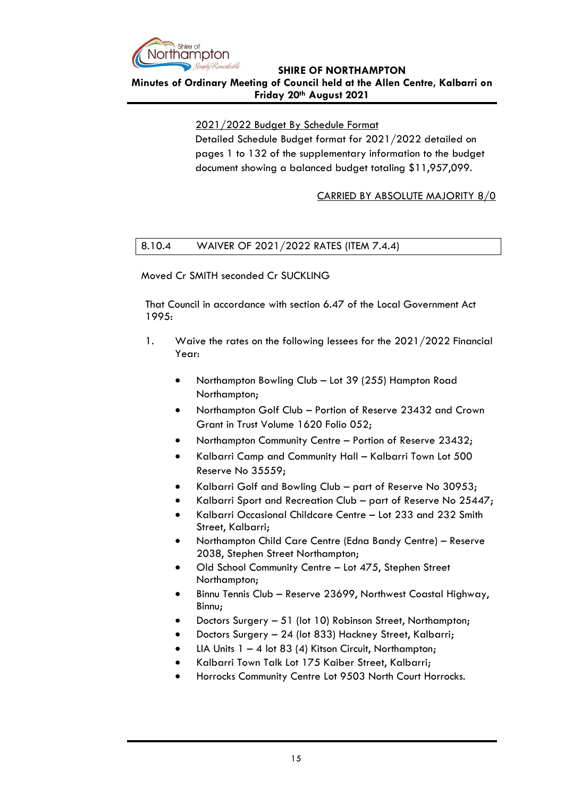

**Minutes of Ordinary Meeting of Council held at the Allen Centre, Kalbarri on Friday 20th August 2021**

2021/2022 Budget By Schedule Format

Detailed Schedule Budget format for 2021/2022 detailed on pages 1 to 132 of the supplementary information to the budget document showing a balanced budget totaling \$11,957,099.

CARRIED BY ABSOLUTE MAJORITY 8/0

# <span id="page-14-0"></span>8.10.4 WAIVER OF 2021/2022 RATES (ITEM 7.4.4)

Moved Cr SMITH seconded Cr SUCKLING

That Council in accordance with section 6.47 of the Local Government Act 1995:

- 1. Waive the rates on the following lessees for the 2021/2022 Financial Year:
	- Northampton Bowling Club Lot 39 (255) Hampton Road Northampton;
	- Northampton Golf Club Portion of Reserve 23432 and Crown Grant in Trust Volume 1620 Folio 052;
	- Northampton Community Centre Portion of Reserve 23432;
	- Kalbarri Camp and Community Hall Kalbarri Town Lot 500 Reserve No 35559;
	- Kalbarri Golf and Bowling Club part of Reserve No 30953;
	- Kalbarri Sport and Recreation Club part of Reserve No 25447;
	- Kalbarri Occasional Childcare Centre Lot 233 and 232 Smith Street, Kalbarri;
	- Northampton Child Care Centre (Edna Bandy Centre) Reserve 2038, Stephen Street Northampton;
	- Old School Community Centre Lot 475, Stephen Street Northampton;
	- Binnu Tennis Club Reserve 23699, Northwest Coastal Highway, Binnu;
	- Doctors Surgery 51 (lot 10) Robinson Street, Northampton;
	- Doctors Surgery 24 (lot 833) Hackney Street, Kalbarri;
	- LIA Units  $1 4$  lot 83 (4) Kitson Circuit, Northampton;
	- Kalbarri Town Talk Lot 175 Kaiber Street, Kalbarri;
	- Horrocks Community Centre Lot 9503 North Court Horrocks.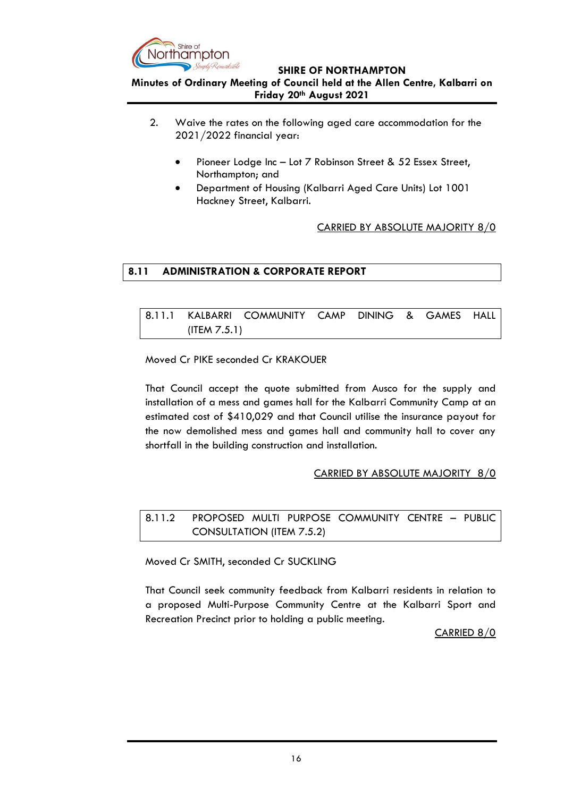

## **Minutes of Ordinary Meeting of Council held at the Allen Centre, Kalbarri on Friday 20th August 2021**

- 2. Waive the rates on the following aged care accommodation for the 2021/2022 financial year:
	- Pioneer Lodge Inc Lot 7 Robinson Street & 52 Essex Street, Northampton; and
	- Department of Housing (Kalbarri Aged Care Units) Lot 1001 Hackney Street, Kalbarri.

# CARRIED BY ABSOLUTE MAJORITY 8/0

# <span id="page-15-0"></span>**8.11 ADMINISTRATION & CORPORATE REPORT**

<span id="page-15-1"></span>8.11.1 KALBARRI COMMUNITY CAMP DINING & GAMES HALL (ITEM 7.5.1)

Moved Cr PIKE seconded Cr KRAKOUER

That Council accept the quote submitted from Ausco for the supply and installation of a mess and games hall for the Kalbarri Community Camp at an estimated cost of \$410,029 and that Council utilise the insurance payout for the now demolished mess and games hall and community hall to cover any shortfall in the building construction and installation.

# CARRIED BY ABSOLUTE MAJORITY 8/0

<span id="page-15-2"></span>8.11.2 PROPOSED MULTI PURPOSE COMMUNITY CENTRE – PUBLIC CONSULTATION (ITEM 7.5.2)

Moved Cr SMITH, seconded Cr SUCKLING

That Council seek community feedback from Kalbarri residents in relation to a proposed Multi-Purpose Community Centre at the Kalbarri Sport and Recreation Precinct prior to holding a public meeting.

CARRIED 8/0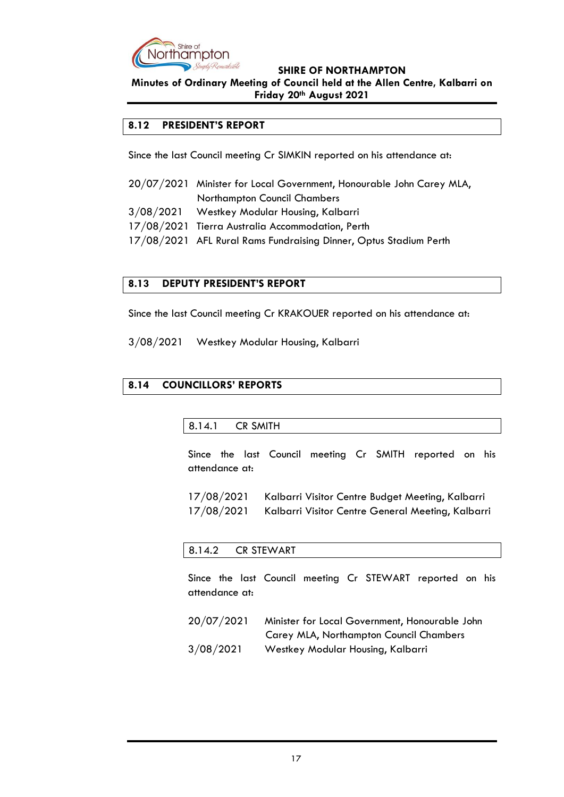

**Minutes of Ordinary Meeting of Council held at the Allen Centre, Kalbarri on Friday 20th August 2021**

# <span id="page-16-0"></span>**8.12 PRESIDENT'S REPORT**

Since the last Council meeting Cr SIMKIN reported on his attendance at:

- 20/07/2021 Minister for Local Government, Honourable John Carey MLA, Northampton Council Chambers
- 3/08/2021 Westkey Modular Housing, Kalbarri
- 17/08/2021 Tierra Australia Accommodation, Perth
- 17/08/2021 AFL Rural Rams Fundraising Dinner, Optus Stadium Perth

# <span id="page-16-1"></span>**8.13 DEPUTY PRESIDENT'S REPORT**

Since the last Council meeting Cr KRAKOUER reported on his attendance at:

3/08/2021 Westkey Modular Housing, Kalbarri

# <span id="page-16-3"></span><span id="page-16-2"></span>**8.14 COUNCILLORS' REPORTS**

# 8.14.1 CR SMITH

Since the last Council meeting Cr SMITH reported on his attendance at:

| 17/08/2021 | Kalbarri Visitor Centre Budget Meeting, Kalbarri  |
|------------|---------------------------------------------------|
| 17/08/2021 | Kalbarri Visitor Centre General Meeting, Kalbarri |

### <span id="page-16-4"></span>8.14.2 CR STEWART

Since the last Council meeting Cr STEWART reported on his attendance at:

 20/07/2021 Minister for Local Government, Honourable John Carey MLA, Northampton Council Chambers 3/08/2021 Westkey Modular Housing, Kalbarri